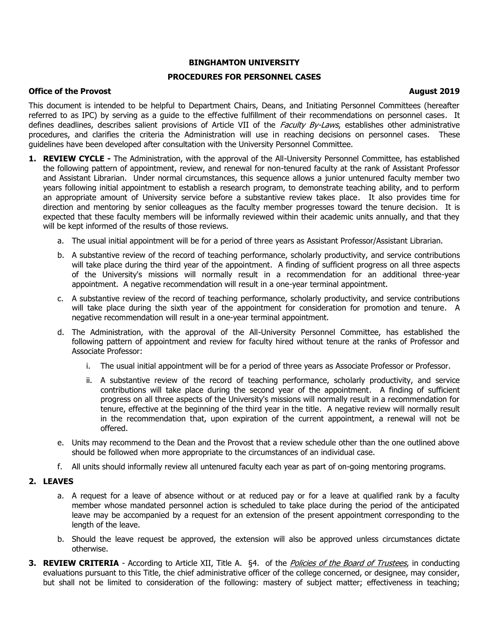# **BINGHAMTON UNIVERSITY**

# **PROCEDURES FOR PERSONNEL CASES**

## **Office of the Provost August 2019**

This document is intended to be helpful to Department Chairs, Deans, and Initiating Personnel Committees (hereafter referred to as IPC) by serving as a guide to the effective fulfillment of their recommendations on personnel cases. It defines deadlines, describes salient provisions of Article VII of the Faculty By-Laws, establishes other administrative procedures, and clarifies the criteria the Administration will use in reaching decisions on personnel cases. These guidelines have been developed after consultation with the University Personnel Committee.

- **1. REVIEW CYCLE -** The Administration, with the approval of the All-University Personnel Committee, has established the following pattern of appointment, review, and renewal for non-tenured faculty at the rank of Assistant Professor and Assistant Librarian. Under normal circumstances, this sequence allows a junior untenured faculty member two years following initial appointment to establish a research program, to demonstrate teaching ability, and to perform an appropriate amount of University service before a substantive review takes place. It also provides time for direction and mentoring by senior colleagues as the faculty member progresses toward the tenure decision. It is expected that these faculty members will be informally reviewed within their academic units annually, and that they will be kept informed of the results of those reviews.
	- a. The usual initial appointment will be for a period of three years as Assistant Professor/Assistant Librarian.
	- b. A substantive review of the record of teaching performance, scholarly productivity, and service contributions will take place during the third year of the appointment. A finding of sufficient progress on all three aspects of the University's missions will normally result in a recommendation for an additional three-year appointment. A negative recommendation will result in a one-year terminal appointment.
	- c. A substantive review of the record of teaching performance, scholarly productivity, and service contributions will take place during the sixth year of the appointment for consideration for promotion and tenure. A negative recommendation will result in a one-year terminal appointment.
	- d. The Administration, with the approval of the All-University Personnel Committee, has established the following pattern of appointment and review for faculty hired without tenure at the ranks of Professor and Associate Professor:
		- i. The usual initial appointment will be for a period of three years as Associate Professor or Professor.
		- ii. A substantive review of the record of teaching performance, scholarly productivity, and service contributions will take place during the second year of the appointment. A finding of sufficient progress on all three aspects of the University's missions will normally result in a recommendation for tenure, effective at the beginning of the third year in the title. A negative review will normally result in the recommendation that, upon expiration of the current appointment, a renewal will not be offered.
	- e. Units may recommend to the Dean and the Provost that a review schedule other than the one outlined above should be followed when more appropriate to the circumstances of an individual case.
	- f. All units should informally review all untenured faculty each year as part of on-going mentoring programs.

## **2. LEAVES**

- a. A request for a leave of absence without or at reduced pay or for a leave at qualified rank by a faculty member whose mandated personnel action is scheduled to take place during the period of the anticipated leave may be accompanied by a request for an extension of the present appointment corresponding to the length of the leave.
- b. Should the leave request be approved, the extension will also be approved unless circumstances dictate otherwise.
- **3. REVIEW CRITERIA** According to Article XII, Title A. §4. of the *Policies of the Board of Trustees*, in conducting evaluations pursuant to this Title, the chief administrative officer of the college concerned, or designee, may consider, but shall not be limited to consideration of the following: mastery of subject matter; effectiveness in teaching;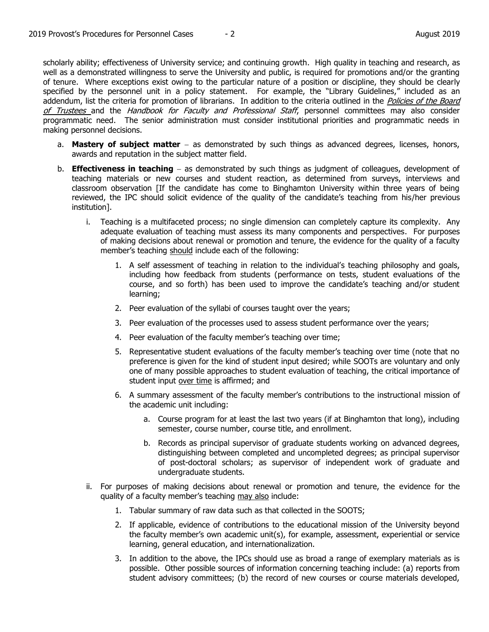scholarly ability; effectiveness of University service; and continuing growth. High quality in teaching and research, as well as a demonstrated willingness to serve the University and public, is required for promotions and/or the granting of tenure. Where exceptions exist owing to the particular nature of a position or discipline, they should be clearly specified by the personnel unit in a policy statement. For example, the "Library Guidelines," included as an addendum, list the criteria for promotion of librarians. In addition to the criteria outlined in the *Policies of the Board* of Trustees and the Handbook for Faculty and Professional Staff, personnel committees may also consider programmatic need. The senior administration must consider institutional priorities and programmatic needs in making personnel decisions.

- a. Mastery of subject matter as demonstrated by such things as advanced degrees, licenses, honors, awards and reputation in the subject matter field.
- b. **Effectiveness in teaching** as demonstrated by such things as judgment of colleagues, development of teaching materials or new courses and student reaction, as determined from surveys, interviews and classroom observation [If the candidate has come to Binghamton University within three years of being reviewed, the IPC should solicit evidence of the quality of the candidate's teaching from his/her previous institution].
	- i. Teaching is a multifaceted process; no single dimension can completely capture its complexity. Any adequate evaluation of teaching must assess its many components and perspectives. For purposes of making decisions about renewal or promotion and tenure, the evidence for the quality of a faculty member's teaching should include each of the following:
		- 1. A self assessment of teaching in relation to the individual's teaching philosophy and goals, including how feedback from students (performance on tests, student evaluations of the course, and so forth) has been used to improve the candidate's teaching and/or student learning;
		- 2. Peer evaluation of the syllabi of courses taught over the years;
		- 3. Peer evaluation of the processes used to assess student performance over the years;
		- 4. Peer evaluation of the faculty member's teaching over time;
		- 5. Representative student evaluations of the faculty member's teaching over time (note that no preference is given for the kind of student input desired; while SOOTs are voluntary and only one of many possible approaches to student evaluation of teaching, the critical importance of student input over time is affirmed; and
		- 6. A summary assessment of the faculty member's contributions to the instructional mission of the academic unit including:
			- a. Course program for at least the last two years (if at Binghamton that long), including semester, course number, course title, and enrollment.
			- b. Records as principal supervisor of graduate students working on advanced degrees, distinguishing between completed and uncompleted degrees; as principal supervisor of post-doctoral scholars; as supervisor of independent work of graduate and undergraduate students.
	- ii. For purposes of making decisions about renewal or promotion and tenure, the evidence for the quality of a faculty member's teaching may also include:
		- 1. Tabular summary of raw data such as that collected in the SOOTS;
		- 2. If applicable, evidence of contributions to the educational mission of the University beyond the faculty member's own academic unit(s), for example, assessment, experiential or service learning, general education, and internationalization.
		- 3. In addition to the above, the IPCs should use as broad a range of exemplary materials as is possible. Other possible sources of information concerning teaching include: (a) reports from student advisory committees; (b) the record of new courses or course materials developed,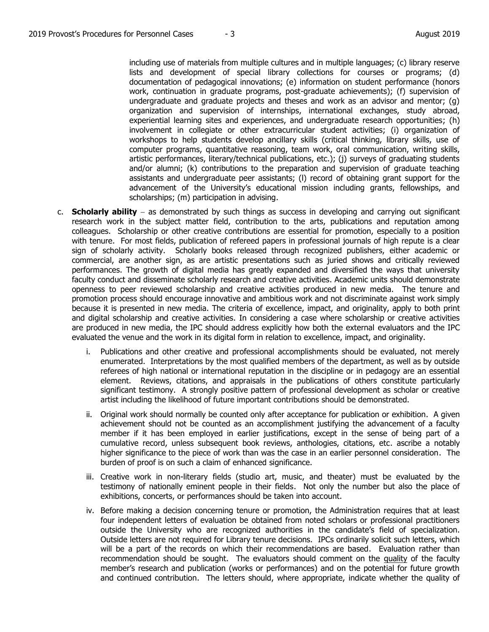including use of materials from multiple cultures and in multiple languages; (c) library reserve lists and development of special library collections for courses or programs; (d) documentation of pedagogical innovations; (e) information on student performance (honors work, continuation in graduate programs, post-graduate achievements); (f) supervision of undergraduate and graduate projects and theses and work as an advisor and mentor; (g) organization and supervision of internships, international exchanges, study abroad, experiential learning sites and experiences, and undergraduate research opportunities; (h) involvement in collegiate or other extracurricular student activities; (i) organization of workshops to help students develop ancillary skills (critical thinking, library skills, use of computer programs, quantitative reasoning, team work, oral communication, writing skills, artistic performances, literary/technical publications, etc.); (j) surveys of graduating students and/or alumni; (k) contributions to the preparation and supervision of graduate teaching assistants and undergraduate peer assistants; (l) record of obtaining grant support for the advancement of the University's educational mission including grants, fellowships, and scholarships; (m) participation in advising.

- c. **Scholarly ability** as demonstrated by such things as success in developing and carrying out significant research work in the subject matter field, contribution to the arts, publications and reputation among colleagues. Scholarship or other creative contributions are essential for promotion, especially to a position with tenure. For most fields, publication of refereed papers in professional journals of high repute is a clear sign of scholarly activity. Scholarly books released through recognized publishers, either academic or commercial, are another sign, as are artistic presentations such as juried shows and critically reviewed performances. The growth of digital media has greatly expanded and diversified the ways that university faculty conduct and disseminate scholarly research and creative activities. Academic units should demonstrate openness to peer reviewed scholarship and creative activities produced in new media. The tenure and promotion process should encourage innovative and ambitious work and not discriminate against work simply because it is presented in new media. The criteria of excellence, impact, and originality, apply to both print and digital scholarship and creative activities. In considering a case where scholarship or creative activities are produced in new media, the IPC should address explicitly how both the external evaluators and the IPC evaluated the venue and the work in its digital form in relation to excellence, impact, and originality.
	- i. Publications and other creative and professional accomplishments should be evaluated, not merely enumerated. Interpretations by the most qualified members of the department, as well as by outside referees of high national or international reputation in the discipline or in pedagogy are an essential element. Reviews, citations, and appraisals in the publications of others constitute particularly significant testimony. A strongly positive pattern of professional development as scholar or creative artist including the likelihood of future important contributions should be demonstrated.
	- ii. Original work should normally be counted only after acceptance for publication or exhibition. A given achievement should not be counted as an accomplishment justifying the advancement of a faculty member if it has been employed in earlier justifications, except in the sense of being part of a cumulative record, unless subsequent book reviews, anthologies, citations, etc. ascribe a notably higher significance to the piece of work than was the case in an earlier personnel consideration. The burden of proof is on such a claim of enhanced significance.
	- iii. Creative work in non-literary fields (studio art, music, and theater) must be evaluated by the testimony of nationally eminent people in their fields. Not only the number but also the place of exhibitions, concerts, or performances should be taken into account.
	- iv. Before making a decision concerning tenure or promotion, the Administration requires that at least four independent letters of evaluation be obtained from noted scholars or professional practitioners outside the University who are recognized authorities in the candidate's field of specialization. Outside letters are not required for Library tenure decisions. IPCs ordinarily solicit such letters, which will be a part of the records on which their recommendations are based. Evaluation rather than recommendation should be sought. The evaluators should comment on the quality of the faculty member's research and publication (works or performances) and on the potential for future growth and continued contribution. The letters should, where appropriate, indicate whether the quality of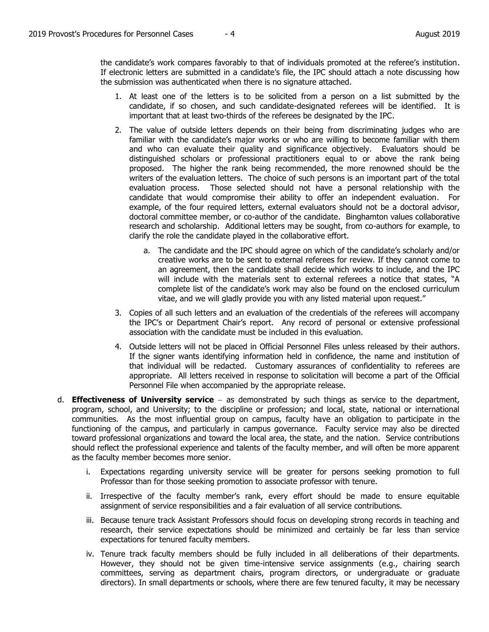the candidate's work compares favorably to that of individuals promoted at the referee's institution. If electronic letters are submitted in a candidate's file, the IPC should attach a note discussing how the submission was authenticated when there is no signature attached.

- 1. At least one of the letters is to be solicited from a person on a list submitted by the candidate, if so chosen, and such candidate-designated referees will be identified. It is important that at least two-thirds of the referees be designated by the IPC.
- 2. The value of outside letters depends on their being from discriminating judges who are familiar with the candidate's major works or who are willing to become familiar with them and who can evaluate their quality and significance objectively. Evaluators should be distinguished scholars or professional practitioners equal to or above the rank being proposed. The higher the rank being recommended, the more renowned should be the writers of the evaluation letters. The choice of such persons is an important part of the total evaluation process. Those selected should not have a personal relationship with the candidate that would compromise their ability to offer an independent evaluation. For example, of the four required letters, external evaluators should not be a doctoral advisor, doctoral committee member, or co-author of the candidate. Binghamton values collaborative research and scholarship. Additional letters may be sought, from co-authors for example, to clarify the role the candidate played in the collaborative effort.
	- a. The candidate and the IPC should agree on which of the candidate's scholarly and/or creative works are to be sent to external referees for review. If they cannot come to an agreement, then the candidate shall decide which works to include, and the IPC will include with the materials sent to external referees a notice that states, "A complete list of the candidate's work may also be found on the enclosed curriculum vitae, and we will gladly provide you with any listed material upon request."
- 3. Copies of all such letters and an evaluation of the credentials of the referees will accompany the IPC's or Department Chair's report. Any record of personal or extensive professional association with the candidate must be included in this evaluation.
- 4. Outside letters will not be placed in Official Personnel Files unless released by their authors. If the signer wants identifying information held in confidence, the name and institution of that individual will be redacted. Customary assurances of confidentiality to referees are appropriate. All letters received in response to solicitation will become a part of the Official Personnel File when accompanied by the appropriate release.
- d. **Effectiveness of University service** as demonstrated by such things as service to the department, program, school, and University; to the discipline or profession; and local, state, national or international communities. As the most influential group on campus, faculty have an obligation to participate in the functioning of the campus, and particularly in campus governance. Faculty service may also be directed toward professional organizations and toward the local area, the state, and the nation. Service contributions should reflect the professional experience and talents of the faculty member, and will often be more apparent as the faculty member becomes more senior.
	- i. Expectations regarding university service will be greater for persons seeking promotion to full Professor than for those seeking promotion to associate professor with tenure.
	- ii. Irrespective of the faculty member's rank, every effort should be made to ensure equitable assignment of service responsibilities and a fair evaluation of all service contributions.
	- iii. Because tenure track Assistant Professors should focus on developing strong records in teaching and research, their service expectations should be minimized and certainly be far less than service expectations for tenured faculty members.
	- iv. Tenure track faculty members should be fully included in all deliberations of their departments. However, they should not be given time-intensive service assignments (e.g., chairing search committees, serving as department chairs, program directors, or undergraduate or graduate directors). In small departments or schools, where there are few tenured faculty, it may be necessary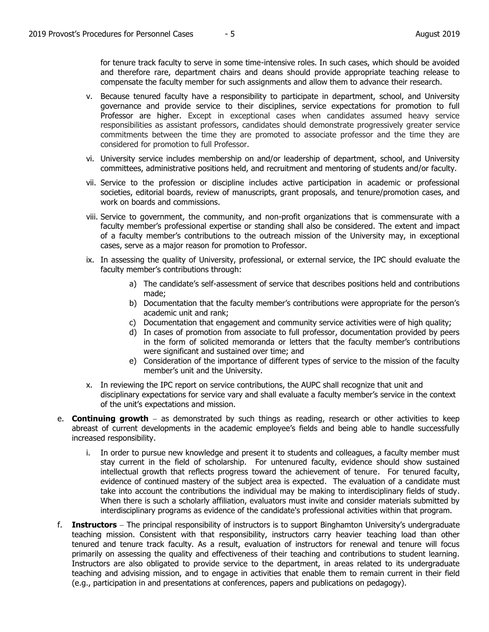for tenure track faculty to serve in some time-intensive roles. In such cases, which should be avoided and therefore rare, department chairs and deans should provide appropriate teaching release to compensate the faculty member for such assignments and allow them to advance their research.

- v. Because tenured faculty have a responsibility to participate in department, school, and University governance and provide service to their disciplines, service expectations for promotion to full Professor are higher. Except in exceptional cases when candidates assumed heavy service responsibilities as assistant professors, candidates should demonstrate progressively greater service commitments between the time they are promoted to associate professor and the time they are considered for promotion to full Professor.
- vi. University service includes membership on and/or leadership of department, school, and University committees, administrative positions held, and recruitment and mentoring of students and/or faculty.
- vii. Service to the profession or discipline includes active participation in academic or professional societies, editorial boards, review of manuscripts, grant proposals, and tenure/promotion cases, and work on boards and commissions.
- viii. Service to government, the community, and non-profit organizations that is commensurate with a faculty member's professional expertise or standing shall also be considered. The extent and impact of a faculty member's contributions to the outreach mission of the University may, in exceptional cases, serve as a major reason for promotion to Professor.
- ix. In assessing the quality of University, professional, or external service, the IPC should evaluate the faculty member's contributions through:
	- a) The candidate's self-assessment of service that describes positions held and contributions made;
	- b) Documentation that the faculty member's contributions were appropriate for the person's academic unit and rank;
	- c) Documentation that engagement and community service activities were of high quality;
	- d) In cases of promotion from associate to full professor, documentation provided by peers in the form of solicited memoranda or letters that the faculty member's contributions were significant and sustained over time; and
	- e) Consideration of the importance of different types of service to the mission of the faculty member's unit and the University.
- x. In reviewing the IPC report on service contributions, the AUPC shall recognize that unit and disciplinary expectations for service vary and shall evaluate a faculty member's service in the context of the unit's expectations and mission.
- e. **Continuing growth** as demonstrated by such things as reading, research or other activities to keep abreast of current developments in the academic employee's fields and being able to handle successfully increased responsibility.
	- i. In order to pursue new knowledge and present it to students and colleagues, a faculty member must stay current in the field of scholarship. For untenured faculty, evidence should show sustained intellectual growth that reflects progress toward the achievement of tenure. For tenured faculty, evidence of continued mastery of the subject area is expected. The evaluation of a candidate must take into account the contributions the individual may be making to interdisciplinary fields of study. When there is such a scholarly affiliation, evaluators must invite and consider materials submitted by interdisciplinary programs as evidence of the candidate's professional activities within that program.
- f. **Instructors** The principal responsibility of instructors is to support Binghamton University's undergraduate teaching mission. Consistent with that responsibility, instructors carry heavier teaching load than other tenured and tenure track faculty. As a result, evaluation of instructors for renewal and tenure will focus primarily on assessing the quality and effectiveness of their teaching and contributions to student learning. Instructors are also obligated to provide service to the department, in areas related to its undergraduate teaching and advising mission, and to engage in activities that enable them to remain current in their field (e.g., participation in and presentations at conferences, papers and publications on pedagogy).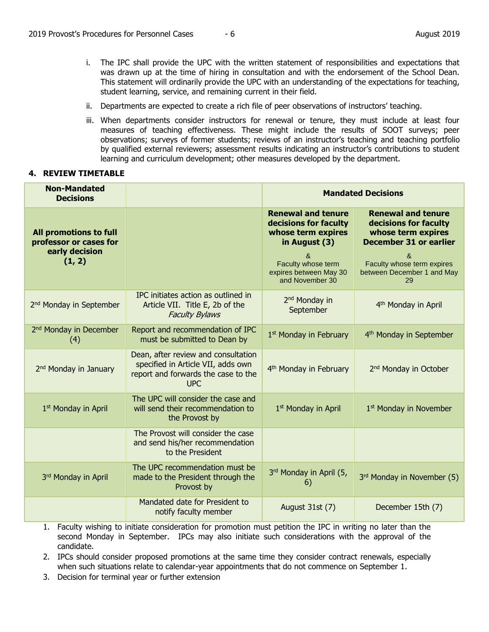- i. The IPC shall provide the UPC with the written statement of responsibilities and expectations that was drawn up at the time of hiring in consultation and with the endorsement of the School Dean. This statement will ordinarily provide the UPC with an understanding of the expectations for teaching, student learning, service, and remaining current in their field.
- ii. Departments are expected to create a rich file of peer observations of instructors' teaching.
- iii. When departments consider instructors for renewal or tenure, they must include at least four measures of teaching effectiveness. These might include the results of SOOT surveys; peer observations; surveys of former students; reviews of an instructor's teaching and teaching portfolio by qualified external reviewers; assessment results indicating an instructor's contributions to student learning and curriculum development; other measures developed by the department.

## **4. REVIEW TIMETABLE**

| <b>Non-Mandated</b><br><b>Decisions</b>                                      |                                                                                                                                | <b>Mandated Decisions</b>                                                                                                                                         |                                                                                                                                                                                  |
|------------------------------------------------------------------------------|--------------------------------------------------------------------------------------------------------------------------------|-------------------------------------------------------------------------------------------------------------------------------------------------------------------|----------------------------------------------------------------------------------------------------------------------------------------------------------------------------------|
| All promotions to full<br>professor or cases for<br>early decision<br>(1, 2) |                                                                                                                                | <b>Renewal and tenure</b><br>decisions for faculty<br>whose term expires<br>in August (3)<br>&<br>Faculty whose term<br>expires between May 30<br>and November 30 | <b>Renewal and tenure</b><br>decisions for faculty<br>whose term expires<br><b>December 31 or earlier</b><br>&<br>Faculty whose term expires<br>between December 1 and May<br>29 |
| 2 <sup>nd</sup> Monday in September                                          | IPC initiates action as outlined in<br>Article VII. Title E, 2b of the<br><b>Faculty Bylaws</b>                                | 2 <sup>nd</sup> Monday in<br>September                                                                                                                            | 4 <sup>th</sup> Monday in April                                                                                                                                                  |
| 2 <sup>nd</sup> Monday in December<br>(4)                                    | Report and recommendation of IPC<br>must be submitted to Dean by                                                               | 1 <sup>st</sup> Monday in February                                                                                                                                | 4 <sup>th</sup> Monday in September                                                                                                                                              |
| 2 <sup>nd</sup> Monday in January                                            | Dean, after review and consultation<br>specified in Article VII, adds own<br>report and forwards the case to the<br><b>UPC</b> | 4 <sup>th</sup> Monday in February                                                                                                                                | 2 <sup>nd</sup> Monday in October                                                                                                                                                |
| 1 <sup>st</sup> Monday in April                                              | The UPC will consider the case and<br>will send their recommendation to<br>the Provost by                                      | 1 <sup>st</sup> Monday in April                                                                                                                                   | 1 <sup>st</sup> Monday in November                                                                                                                                               |
|                                                                              | The Provost will consider the case<br>and send his/her recommendation<br>to the President                                      |                                                                                                                                                                   |                                                                                                                                                                                  |
| 3rd Monday in April                                                          | The UPC recommendation must be<br>made to the President through the<br>Provost by                                              | 3rd Monday in April (5,<br>6)                                                                                                                                     | 3rd Monday in November (5)                                                                                                                                                       |
|                                                                              | Mandated date for President to<br>notify faculty member                                                                        | August 31st (7)                                                                                                                                                   | December 15th (7)                                                                                                                                                                |

- 1. Faculty wishing to initiate consideration for promotion must petition the IPC in writing no later than the second Monday in September. IPCs may also initiate such considerations with the approval of the candidate.
- 2. IPCs should consider proposed promotions at the same time they consider contract renewals, especially when such situations relate to calendar-year appointments that do not commence on September 1.
- 3. Decision for terminal year or further extension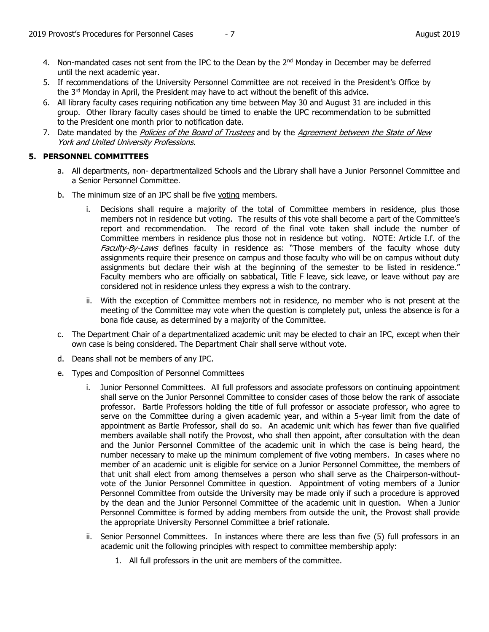- 4. Non-mandated cases not sent from the IPC to the Dean by the  $2<sup>nd</sup>$  Monday in December may be deferred until the next academic year.
- 5. If recommendations of the University Personnel Committee are not received in the President's Office by the  $3<sup>rd</sup>$  Monday in April, the President may have to act without the benefit of this advice.
- 6. All library faculty cases requiring notification any time between May 30 and August 31 are included in this group. Other library faculty cases should be timed to enable the UPC recommendation to be submitted to the President one month prior to notification date.
- 7. Date mandated by the Policies of the Board of Trustees and by the Agreement between the State of New York and United University Professions.

# **5. PERSONNEL COMMITTEES**

- a. All departments, non- departmentalized Schools and the Library shall have a Junior Personnel Committee and a Senior Personnel Committee.
- b. The minimum size of an IPC shall be five voting members.
	- i. Decisions shall require a majority of the total of Committee members in residence, plus those members not in residence but voting. The results of this vote shall become a part of the Committee's report and recommendation. The record of the final vote taken shall include the number of Committee members in residence plus those not in residence but voting. NOTE: Article I.f. of the Faculty-By-Laws defines faculty in residence as: "Those members of the faculty whose duty assignments require their presence on campus and those faculty who will be on campus without duty assignments but declare their wish at the beginning of the semester to be listed in residence." Faculty members who are officially on sabbatical, Title F leave, sick leave, or leave without pay are considered not in residence unless they express a wish to the contrary.
	- ii. With the exception of Committee members not in residence, no member who is not present at the meeting of the Committee may vote when the question is completely put, unless the absence is for a bona fide cause, as determined by a majority of the Committee.
- c. The Department Chair of a departmentalized academic unit may be elected to chair an IPC, except when their own case is being considered. The Department Chair shall serve without vote.
- d. Deans shall not be members of any IPC.
- e. Types and Composition of Personnel Committees
	- i. Junior Personnel Committees. All full professors and associate professors on continuing appointment shall serve on the Junior Personnel Committee to consider cases of those below the rank of associate professor. Bartle Professors holding the title of full professor or associate professor, who agree to serve on the Committee during a given academic year, and within a 5-year limit from the date of appointment as Bartle Professor, shall do so. An academic unit which has fewer than five qualified members available shall notify the Provost, who shall then appoint, after consultation with the dean and the Junior Personnel Committee of the academic unit in which the case is being heard, the number necessary to make up the minimum complement of five voting members. In cases where no member of an academic unit is eligible for service on a Junior Personnel Committee, the members of that unit shall elect from among themselves a person who shall serve as the Chairperson-withoutvote of the Junior Personnel Committee in question. Appointment of voting members of a Junior Personnel Committee from outside the University may be made only if such a procedure is approved by the dean and the Junior Personnel Committee of the academic unit in question. When a Junior Personnel Committee is formed by adding members from outside the unit, the Provost shall provide the appropriate University Personnel Committee a brief rationale.
	- ii. Senior Personnel Committees. In instances where there are less than five (5) full professors in an academic unit the following principles with respect to committee membership apply:
		- 1. All full professors in the unit are members of the committee.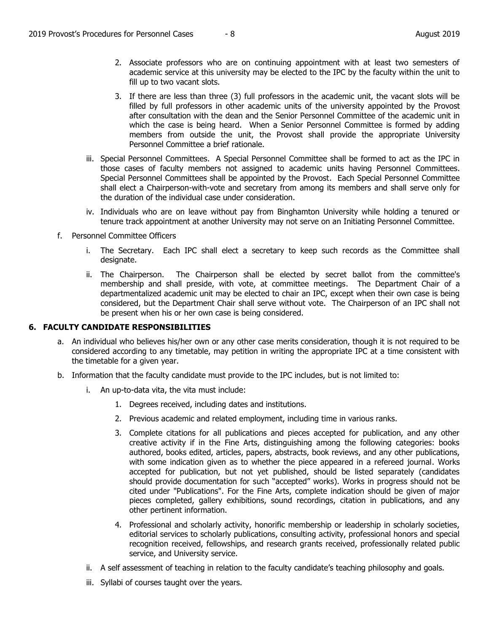- 2. Associate professors who are on continuing appointment with at least two semesters of academic service at this university may be elected to the IPC by the faculty within the unit to fill up to two vacant slots.
- 3. If there are less than three (3) full professors in the academic unit, the vacant slots will be filled by full professors in other academic units of the university appointed by the Provost after consultation with the dean and the Senior Personnel Committee of the academic unit in which the case is being heard. When a Senior Personnel Committee is formed by adding members from outside the unit, the Provost shall provide the appropriate University Personnel Committee a brief rationale.
- iii. Special Personnel Committees. A Special Personnel Committee shall be formed to act as the IPC in those cases of faculty members not assigned to academic units having Personnel Committees. Special Personnel Committees shall be appointed by the Provost. Each Special Personnel Committee shall elect a Chairperson-with-vote and secretary from among its members and shall serve only for the duration of the individual case under consideration.
- iv. Individuals who are on leave without pay from Binghamton University while holding a tenured or tenure track appointment at another University may not serve on an Initiating Personnel Committee.
- f. Personnel Committee Officers
	- i. The Secretary. Each IPC shall elect a secretary to keep such records as the Committee shall designate.
	- ii. The Chairperson. The Chairperson shall be elected by secret ballot from the committee's membership and shall preside, with vote, at committee meetings. The Department Chair of a departmentalized academic unit may be elected to chair an IPC, except when their own case is being considered, but the Department Chair shall serve without vote. The Chairperson of an IPC shall not be present when his or her own case is being considered.

## **6. FACULTY CANDIDATE RESPONSIBILITIES**

- a. An individual who believes his/her own or any other case merits consideration, though it is not required to be considered according to any timetable, may petition in writing the appropriate IPC at a time consistent with the timetable for a given year.
- b. Information that the faculty candidate must provide to the IPC includes, but is not limited to:
	- i. An up-to-data vita, the vita must include:
		- 1. Degrees received, including dates and institutions.
		- 2. Previous academic and related employment, including time in various ranks.
		- 3. Complete citations for all publications and pieces accepted for publication, and any other creative activity if in the Fine Arts, distinguishing among the following categories: books authored, books edited, articles, papers, abstracts, book reviews, and any other publications, with some indication given as to whether the piece appeared in a refereed journal. Works accepted for publication, but not yet published, should be listed separately (candidates should provide documentation for such "accepted" works). Works in progress should not be cited under "Publications". For the Fine Arts, complete indication should be given of major pieces completed, gallery exhibitions, sound recordings, citation in publications, and any other pertinent information.
		- 4. Professional and scholarly activity, honorific membership or leadership in scholarly societies, editorial services to scholarly publications, consulting activity, professional honors and special recognition received, fellowships, and research grants received, professionally related public service, and University service.
	- ii. A self assessment of teaching in relation to the faculty candidate's teaching philosophy and goals.
	- iii. Syllabi of courses taught over the years.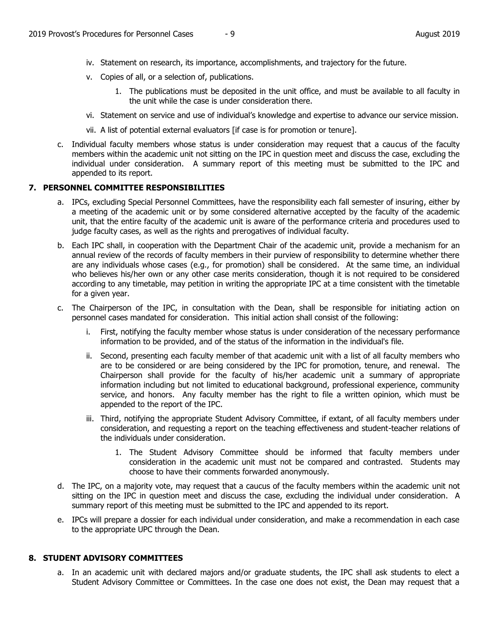- iv. Statement on research, its importance, accomplishments, and trajectory for the future.
- v. Copies of all, or a selection of, publications.
	- 1. The publications must be deposited in the unit office, and must be available to all faculty in the unit while the case is under consideration there.
- vi. Statement on service and use of individual's knowledge and expertise to advance our service mission.
- vii. A list of potential external evaluators [if case is for promotion or tenure].
- c. Individual faculty members whose status is under consideration may request that a caucus of the faculty members within the academic unit not sitting on the IPC in question meet and discuss the case, excluding the individual under consideration. A summary report of this meeting must be submitted to the IPC and appended to its report.

#### **7. PERSONNEL COMMITTEE RESPONSIBILITIES**

- a. IPCs, excluding Special Personnel Committees, have the responsibility each fall semester of insuring, either by a meeting of the academic unit or by some considered alternative accepted by the faculty of the academic unit, that the entire faculty of the academic unit is aware of the performance criteria and procedures used to judge faculty cases, as well as the rights and prerogatives of individual faculty.
- b. Each IPC shall, in cooperation with the Department Chair of the academic unit, provide a mechanism for an annual review of the records of faculty members in their purview of responsibility to determine whether there are any individuals whose cases (e.g., for promotion) shall be considered. At the same time, an individual who believes his/her own or any other case merits consideration, though it is not required to be considered according to any timetable, may petition in writing the appropriate IPC at a time consistent with the timetable for a given year.
- c. The Chairperson of the IPC, in consultation with the Dean, shall be responsible for initiating action on personnel cases mandated for consideration. This initial action shall consist of the following:
	- i. First, notifying the faculty member whose status is under consideration of the necessary performance information to be provided, and of the status of the information in the individual's file.
	- ii. Second, presenting each faculty member of that academic unit with a list of all faculty members who are to be considered or are being considered by the IPC for promotion, tenure, and renewal. The Chairperson shall provide for the faculty of his/her academic unit a summary of appropriate information including but not limited to educational background, professional experience, community service, and honors. Any faculty member has the right to file a written opinion, which must be appended to the report of the IPC.
	- iii. Third, notifying the appropriate Student Advisory Committee, if extant, of all faculty members under consideration, and requesting a report on the teaching effectiveness and student-teacher relations of the individuals under consideration.
		- 1. The Student Advisory Committee should be informed that faculty members under consideration in the academic unit must not be compared and contrasted. Students may choose to have their comments forwarded anonymously.
- d. The IPC, on a majority vote, may request that a caucus of the faculty members within the academic unit not sitting on the IPC in question meet and discuss the case, excluding the individual under consideration. A summary report of this meeting must be submitted to the IPC and appended to its report.
- e. IPCs will prepare a dossier for each individual under consideration, and make a recommendation in each case to the appropriate UPC through the Dean.

#### **8. STUDENT ADVISORY COMMITTEES**

a. In an academic unit with declared majors and/or graduate students, the IPC shall ask students to elect a Student Advisory Committee or Committees. In the case one does not exist, the Dean may request that a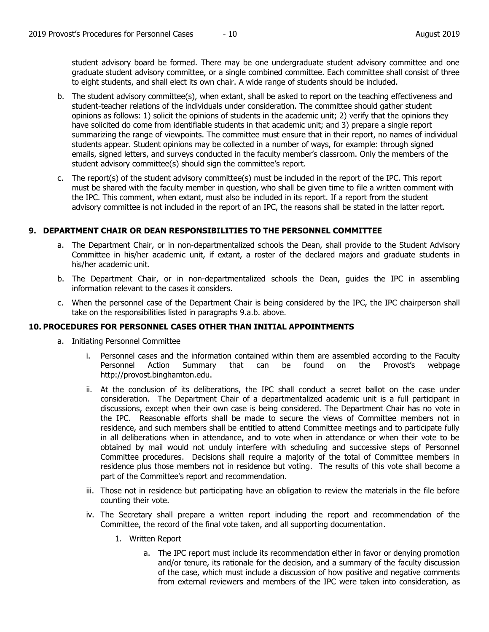student advisory board be formed. There may be one undergraduate student advisory committee and one graduate student advisory committee, or a single combined committee. Each committee shall consist of three to eight students, and shall elect its own chair. A wide range of students should be included.

- b. The student advisory committee(s), when extant, shall be asked to report on the teaching effectiveness and student-teacher relations of the individuals under consideration. The committee should gather student opinions as follows: 1) solicit the opinions of students in the academic unit; 2) verify that the opinions they have solicited do come from identifiable students in that academic unit; and 3) prepare a single report summarizing the range of viewpoints. The committee must ensure that in their report, no names of individual students appear. Student opinions may be collected in a number of ways, for example: through signed emails, signed letters, and surveys conducted in the faculty member's classroom. Only the members of the student advisory committee(s) should sign the committee's report.
- c. The report(s) of the student advisory committee(s) must be included in the report of the IPC. This report must be shared with the faculty member in question, who shall be given time to file a written comment with the IPC. This comment, when extant, must also be included in its report. If a report from the student advisory committee is not included in the report of an IPC, the reasons shall be stated in the latter report.

## **9. DEPARTMENT CHAIR OR DEAN RESPONSIBILITIES TO THE PERSONNEL COMMITTEE**

- a. The Department Chair, or in non-departmentalized schools the Dean, shall provide to the Student Advisory Committee in his/her academic unit, if extant, a roster of the declared majors and graduate students in his/her academic unit.
- b. The Department Chair, or in non-departmentalized schools the Dean, guides the IPC in assembling information relevant to the cases it considers.
- c. When the personnel case of the Department Chair is being considered by the IPC, the IPC chairperson shall take on the responsibilities listed in paragraphs 9.a.b. above.

## **10. PROCEDURES FOR PERSONNEL CASES OTHER THAN INITIAL APPOINTMENTS**

- a. Initiating Personnel Committee
	- i. Personnel cases and the information contained within them are assembled according to the Faculty Personnel Action Summary that can be found on the Provost's webpage [http://provost.binghamton.edu.](http://provost.binghamton.edu/)
	- ii. At the conclusion of its deliberations, the IPC shall conduct a secret ballot on the case under consideration. The Department Chair of a departmentalized academic unit is a full participant in discussions, except when their own case is being considered. The Department Chair has no vote in the IPC. Reasonable efforts shall be made to secure the views of Committee members not in residence, and such members shall be entitled to attend Committee meetings and to participate fully in all deliberations when in attendance, and to vote when in attendance or when their vote to be obtained by mail would not unduly interfere with scheduling and successive steps of Personnel Committee procedures. Decisions shall require a majority of the total of Committee members in residence plus those members not in residence but voting. The results of this vote shall become a part of the Committee's report and recommendation.
	- iii. Those not in residence but participating have an obligation to review the materials in the file before counting their vote.
	- iv. The Secretary shall prepare a written report including the report and recommendation of the Committee, the record of the final vote taken, and all supporting documentation.
		- 1. Written Report
			- a. The IPC report must include its recommendation either in favor or denying promotion and/or tenure, its rationale for the decision, and a summary of the faculty discussion of the case, which must include a discussion of how positive and negative comments from external reviewers and members of the IPC were taken into consideration, as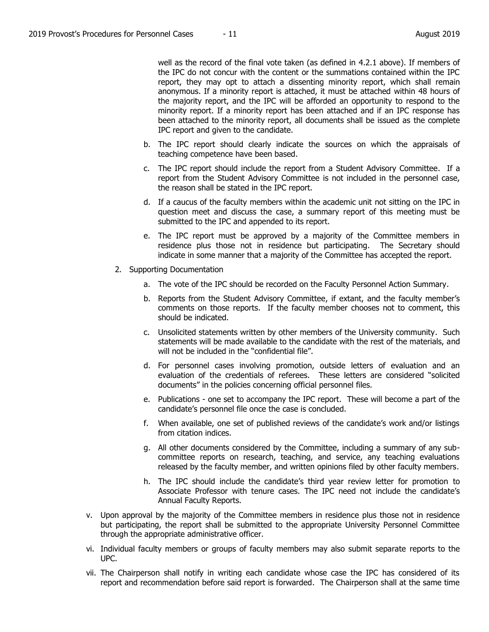well as the record of the final vote taken (as defined in 4.2.1 above). If members of the IPC do not concur with the content or the summations contained within the IPC report, they may opt to attach a dissenting minority report, which shall remain anonymous. If a minority report is attached, it must be attached within 48 hours of the majority report, and the IPC will be afforded an opportunity to respond to the minority report. If a minority report has been attached and if an IPC response has been attached to the minority report, all documents shall be issued as the complete IPC report and given to the candidate.

- b. The IPC report should clearly indicate the sources on which the appraisals of teaching competence have been based.
- c. The IPC report should include the report from a Student Advisory Committee. If a report from the Student Advisory Committee is not included in the personnel case, the reason shall be stated in the IPC report.
- d. If a caucus of the faculty members within the academic unit not sitting on the IPC in question meet and discuss the case, a summary report of this meeting must be submitted to the IPC and appended to its report.
- e. The IPC report must be approved by a majority of the Committee members in residence plus those not in residence but participating. The Secretary should indicate in some manner that a majority of the Committee has accepted the report.
- 2. Supporting Documentation
	- a. The vote of the IPC should be recorded on the Faculty Personnel Action Summary.
	- b. Reports from the Student Advisory Committee, if extant, and the faculty member's comments on those reports. If the faculty member chooses not to comment, this should be indicated.
	- c. Unsolicited statements written by other members of the University community. Such statements will be made available to the candidate with the rest of the materials, and will not be included in the "confidential file".
	- d. For personnel cases involving promotion, outside letters of evaluation and an evaluation of the credentials of referees. These letters are considered "solicited documents" in the policies concerning official personnel files.
	- e. Publications one set to accompany the IPC report. These will become a part of the candidate's personnel file once the case is concluded.
	- f. When available, one set of published reviews of the candidate's work and/or listings from citation indices.
	- g. All other documents considered by the Committee, including a summary of any subcommittee reports on research, teaching, and service, any teaching evaluations released by the faculty member, and written opinions filed by other faculty members.
	- h. The IPC should include the candidate's third year review letter for promotion to Associate Professor with tenure cases. The IPC need not include the candidate's Annual Faculty Reports.
- v. Upon approval by the majority of the Committee members in residence plus those not in residence but participating, the report shall be submitted to the appropriate University Personnel Committee through the appropriate administrative officer.
- vi. Individual faculty members or groups of faculty members may also submit separate reports to the UPC.
- vii. The Chairperson shall notify in writing each candidate whose case the IPC has considered of its report and recommendation before said report is forwarded. The Chairperson shall at the same time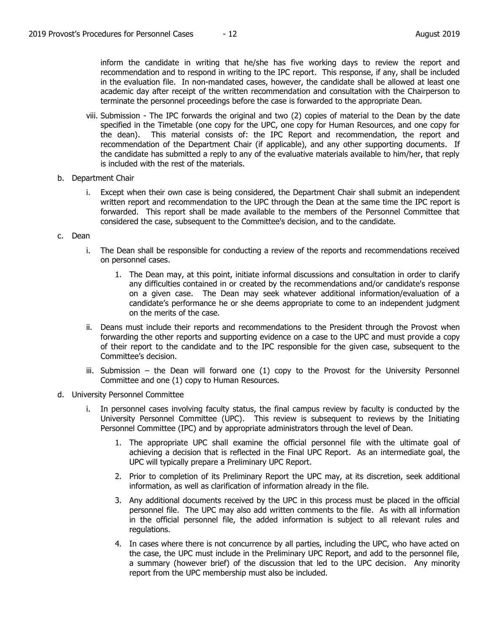inform the candidate in writing that he/she has five working days to review the report and recommendation and to respond in writing to the IPC report. This response, if any, shall be included in the evaluation file. In non-mandated cases, however, the candidate shall be allowed at least one academic day after receipt of the written recommendation and consultation with the Chairperson to terminate the personnel proceedings before the case is forwarded to the appropriate Dean.

- viii. Submission The IPC forwards the original and two (2) copies of material to the Dean by the date specified in the Timetable (one copy for the UPC, one copy for Human Resources, and one copy for the dean). This material consists of: the IPC Report and recommendation, the report and recommendation of the Department Chair (if applicable), and any other supporting documents. If the candidate has submitted a reply to any of the evaluative materials available to him/her, that reply is included with the rest of the materials.
- b. Department Chair
	- i. Except when their own case is being considered, the Department Chair shall submit an independent written report and recommendation to the UPC through the Dean at the same time the IPC report is forwarded. This report shall be made available to the members of the Personnel Committee that considered the case, subsequent to the Committee's decision, and to the candidate.
- c. Dean
	- i. The Dean shall be responsible for conducting a review of the reports and recommendations received on personnel cases.
		- 1. The Dean may, at this point, initiate informal discussions and consultation in order to clarify any difficulties contained in or created by the recommendations and/or candidate's response on a given case. The Dean may seek whatever additional information/evaluation of a candidate's performance he or she deems appropriate to come to an independent judgment on the merits of the case.
	- ii. Deans must include their reports and recommendations to the President through the Provost when forwarding the other reports and supporting evidence on a case to the UPC and must provide a copy of their report to the candidate and to the IPC responsible for the given case, subsequent to the Committee's decision.
	- iii. Submission the Dean will forward one (1) copy to the Provost for the University Personnel Committee and one (1) copy to Human Resources.
- d. University Personnel Committee
	- i. In personnel cases involving faculty status, the final campus review by faculty is conducted by the University Personnel Committee (UPC). This review is subsequent to reviews by the Initiating Personnel Committee (IPC) and by appropriate administrators through the level of Dean.
		- 1. The appropriate UPC shall examine the official personnel file with the ultimate goal of achieving a decision that is reflected in the Final UPC Report. As an intermediate goal, the UPC will typically prepare a Preliminary UPC Report.
		- 2. Prior to completion of its Preliminary Report the UPC may, at its discretion, seek additional information, as well as clarification of information already in the file.
		- 3. Any additional documents received by the UPC in this process must be placed in the official personnel file. The UPC may also add written comments to the file. As with all information in the official personnel file, the added information is subject to all relevant rules and regulations.
		- 4. In cases where there is not concurrence by all parties, including the UPC, who have acted on the case, the UPC must include in the Preliminary UPC Report, and add to the personnel file, a summary (however brief) of the discussion that led to the UPC decision. Any minority report from the UPC membership must also be included.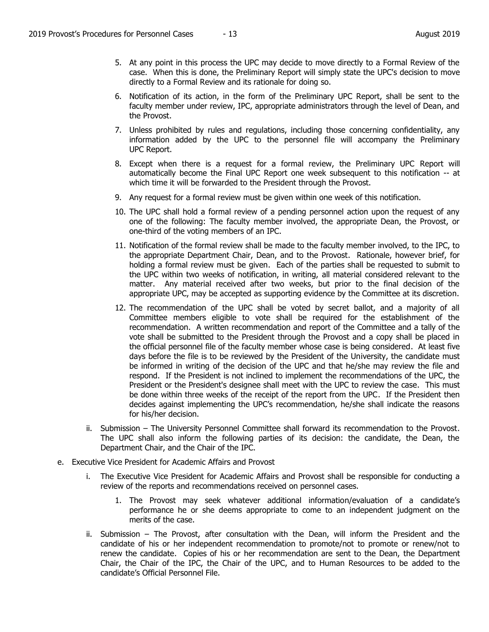- 5. At any point in this process the UPC may decide to move directly to a Formal Review of the case. When this is done, the Preliminary Report will simply state the UPC's decision to move directly to a Formal Review and its rationale for doing so.
- 6. Notification of its action, in the form of the Preliminary UPC Report, shall be sent to the faculty member under review, IPC, appropriate administrators through the level of Dean, and the Provost.
- 7. Unless prohibited by rules and regulations, including those concerning confidentiality, any information added by the UPC to the personnel file will accompany the Preliminary UPC Report.
- 8. Except when there is a request for a formal review, the Preliminary UPC Report will automatically become the Final UPC Report one week subsequent to this notification -- at which time it will be forwarded to the President through the Provost.
- 9. Any request for a formal review must be given within one week of this notification.
- 10. The UPC shall hold a formal review of a pending personnel action upon the request of any one of the following: The faculty member involved, the appropriate Dean, the Provost, or one-third of the voting members of an IPC.
- 11. Notification of the formal review shall be made to the faculty member involved, to the IPC, to the appropriate Department Chair, Dean, and to the Provost. Rationale, however brief, for holding a formal review must be given. Each of the parties shall be requested to submit to the UPC within two weeks of notification, in writing, all material considered relevant to the matter. Any material received after two weeks, but prior to the final decision of the appropriate UPC, may be accepted as supporting evidence by the Committee at its discretion.
- 12. The recommendation of the UPC shall be voted by secret ballot, and a majority of all Committee members eligible to vote shall be required for the establishment of the recommendation. A written recommendation and report of the Committee and a tally of the vote shall be submitted to the President through the Provost and a copy shall be placed in the official personnel file of the faculty member whose case is being considered. At least five days before the file is to be reviewed by the President of the University, the candidate must be informed in writing of the decision of the UPC and that he/she may review the file and respond. If the President is not inclined to implement the recommendations of the UPC, the President or the President's designee shall meet with the UPC to review the case. This must be done within three weeks of the receipt of the report from the UPC. If the President then decides against implementing the UPC's recommendation, he/she shall indicate the reasons for his/her decision.
- ii. Submission The University Personnel Committee shall forward its recommendation to the Provost. The UPC shall also inform the following parties of its decision: the candidate, the Dean, the Department Chair, and the Chair of the IPC.
- e. Executive Vice President for Academic Affairs and Provost
	- i. The Executive Vice President for Academic Affairs and Provost shall be responsible for conducting a review of the reports and recommendations received on personnel cases.
		- 1. The Provost may seek whatever additional information/evaluation of a candidate's performance he or she deems appropriate to come to an independent judgment on the merits of the case.
	- ii. Submission The Provost, after consultation with the Dean, will inform the President and the candidate of his or her independent recommendation to promote/not to promote or renew/not to renew the candidate. Copies of his or her recommendation are sent to the Dean, the Department Chair, the Chair of the IPC, the Chair of the UPC, and to Human Resources to be added to the candidate's Official Personnel File.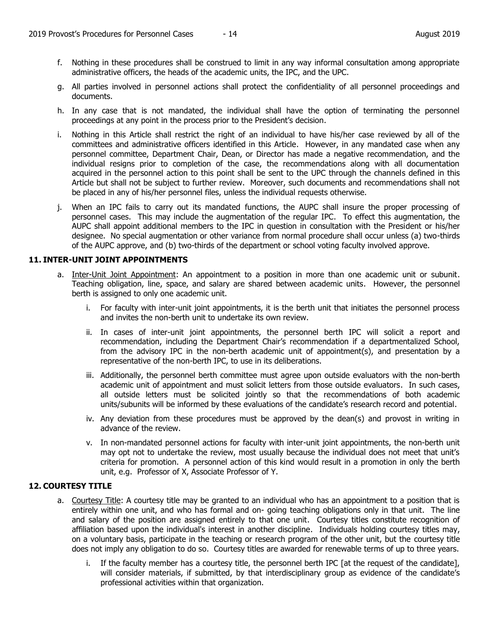- f. Nothing in these procedures shall be construed to limit in any way informal consultation among appropriate administrative officers, the heads of the academic units, the IPC, and the UPC.
- g. All parties involved in personnel actions shall protect the confidentiality of all personnel proceedings and documents.
- h. In any case that is not mandated, the individual shall have the option of terminating the personnel proceedings at any point in the process prior to the President's decision.
- i. Nothing in this Article shall restrict the right of an individual to have his/her case reviewed by all of the committees and administrative officers identified in this Article. However, in any mandated case when any personnel committee, Department Chair, Dean, or Director has made a negative recommendation, and the individual resigns prior to completion of the case, the recommendations along with all documentation acquired in the personnel action to this point shall be sent to the UPC through the channels defined in this Article but shall not be subject to further review. Moreover, such documents and recommendations shall not be placed in any of his/her personnel files, unless the individual requests otherwise.
- j. When an IPC fails to carry out its mandated functions, the AUPC shall insure the proper processing of personnel cases. This may include the augmentation of the regular IPC. To effect this augmentation, the AUPC shall appoint additional members to the IPC in question in consultation with the President or his/her designee. No special augmentation or other variance from normal procedure shall occur unless (a) two-thirds of the AUPC approve, and (b) two-thirds of the department or school voting faculty involved approve.

## **11. INTER-UNIT JOINT APPOINTMENTS**

- a. Inter-Unit Joint Appointment: An appointment to a position in more than one academic unit or subunit. Teaching obligation, line, space, and salary are shared between academic units. However, the personnel berth is assigned to only one academic unit.
	- i. For faculty with inter-unit joint appointments, it is the berth unit that initiates the personnel process and invites the non-berth unit to undertake its own review.
	- ii. In cases of inter-unit joint appointments, the personnel berth IPC will solicit a report and recommendation, including the Department Chair's recommendation if a departmentalized School, from the advisory IPC in the non-berth academic unit of appointment(s), and presentation by a representative of the non-berth IPC, to use in its deliberations.
	- iii. Additionally, the personnel berth committee must agree upon outside evaluators with the non-berth academic unit of appointment and must solicit letters from those outside evaluators. In such cases, all outside letters must be solicited jointly so that the recommendations of both academic units/subunits will be informed by these evaluations of the candidate's research record and potential.
	- iv. Any deviation from these procedures must be approved by the dean(s) and provost in writing in advance of the review.
	- v. In non-mandated personnel actions for faculty with inter-unit joint appointments, the non-berth unit may opt not to undertake the review, most usually because the individual does not meet that unit's criteria for promotion. A personnel action of this kind would result in a promotion in only the berth unit, e.g. Professor of X, Associate Professor of Y.

## **12. COURTESY TITLE**

- a. Courtesy Title: A courtesy title may be granted to an individual who has an appointment to a position that is entirely within one unit, and who has formal and on- going teaching obligations only in that unit. The line and salary of the position are assigned entirely to that one unit. Courtesy titles constitute recognition of affiliation based upon the individual's interest in another discipline. Individuals holding courtesy titles may, on a voluntary basis, participate in the teaching or research program of the other unit, but the courtesy title does not imply any obligation to do so. Courtesy titles are awarded for renewable terms of up to three years.
	- i. If the faculty member has a courtesy title, the personnel berth IPC [at the request of the candidate], will consider materials, if submitted, by that interdisciplinary group as evidence of the candidate's professional activities within that organization.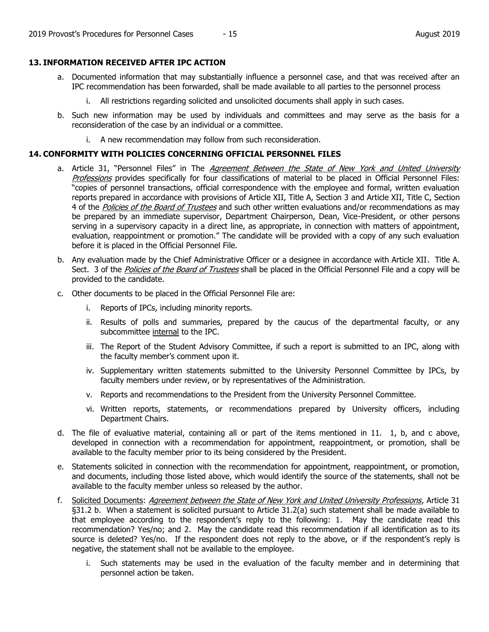## **13. INFORMATION RECEIVED AFTER IPC ACTION**

- a. Documented information that may substantially influence a personnel case, and that was received after an IPC recommendation has been forwarded, shall be made available to all parties to the personnel process
	- i. All restrictions regarding solicited and unsolicited documents shall apply in such cases.
- b. Such new information may be used by individuals and committees and may serve as the basis for a reconsideration of the case by an individual or a committee.
	- i. A new recommendation may follow from such reconsideration.

## **14. CONFORMITY WITH POLICIES CONCERNING OFFICIAL PERSONNEL FILES**

- a. Article 31, "Personnel Files" in The Agreement Between the State of New York and United University Professions provides specifically for four classifications of material to be placed in Official Personnel Files: "copies of personnel transactions, official correspondence with the employee and formal, written evaluation reports prepared in accordance with provisions of Article XII, Title A, Section 3 and Article XII, Title C, Section 4 of the *Policies of the Board of Trustees* and such other written evaluations and/or recommendations as may be prepared by an immediate supervisor, Department Chairperson, Dean, Vice-President, or other persons serving in a supervisory capacity in a direct line, as appropriate, in connection with matters of appointment, evaluation, reappointment or promotion." The candidate will be provided with a copy of any such evaluation before it is placed in the Official Personnel File.
- b. Any evaluation made by the Chief Administrative Officer or a designee in accordance with Article XII. Title A. Sect. 3 of the *Policies of the Board of Trustees* shall be placed in the Official Personnel File and a copy will be provided to the candidate.
- c. Other documents to be placed in the Official Personnel File are:
	- i. Reports of IPCs, including minority reports.
	- ii. Results of polls and summaries, prepared by the caucus of the departmental faculty, or any subcommittee internal to the IPC.
	- iii. The Report of the Student Advisory Committee, if such a report is submitted to an IPC, along with the faculty member's comment upon it.
	- iv. Supplementary written statements submitted to the University Personnel Committee by IPCs, by faculty members under review, or by representatives of the Administration.
	- v. Reports and recommendations to the President from the University Personnel Committee.
	- vi. Written reports, statements, or recommendations prepared by University officers, including Department Chairs.
- d. The file of evaluative material, containing all or part of the items mentioned in 11. 1, b, and c above, developed in connection with a recommendation for appointment, reappointment, or promotion, shall be available to the faculty member prior to its being considered by the President.
- e. Statements solicited in connection with the recommendation for appointment, reappointment, or promotion, and documents, including those listed above, which would identify the source of the statements, shall not be available to the faculty member unless so released by the author.
- f. Solicited Documents: Agreement between the State of New York and United University Professions, Article 31 §31.2 b. When a statement is solicited pursuant to Article 31.2(a) such statement shall be made available to that employee according to the respondent's reply to the following: 1. May the candidate read this recommendation? Yes/no; and 2. May the candidate read this recommendation if all identification as to its source is deleted? Yes/no. If the respondent does not reply to the above, or if the respondent's reply is negative, the statement shall not be available to the employee.
	- i. Such statements may be used in the evaluation of the faculty member and in determining that personnel action be taken.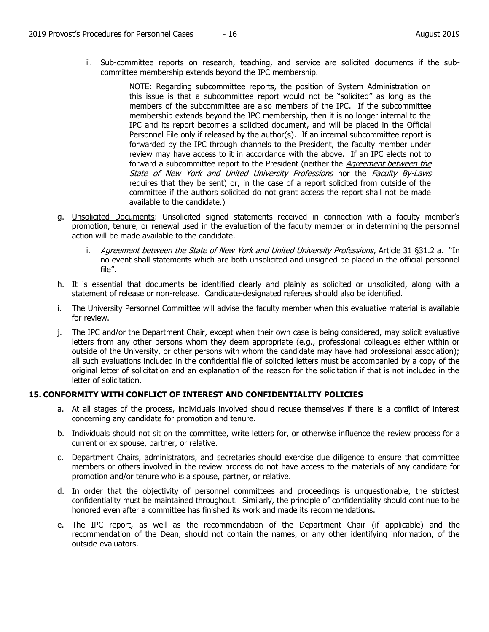ii. Sub-committee reports on research, teaching, and service are solicited documents if the subcommittee membership extends beyond the IPC membership.

> NOTE: Regarding subcommittee reports, the position of System Administration on this issue is that a subcommittee report would not be "solicited" as long as the members of the subcommittee are also members of the IPC. If the subcommittee membership extends beyond the IPC membership, then it is no longer internal to the IPC and its report becomes a solicited document, and will be placed in the Official Personnel File only if released by the author(s). If an internal subcommittee report is forwarded by the IPC through channels to the President, the faculty member under review may have access to it in accordance with the above. If an IPC elects not to forward a subcommittee report to the President (neither the Agreement between the State of New York and United University Professions nor the Faculty By-Laws requires that they be sent) or, in the case of a report solicited from outside of the committee if the authors solicited do not grant access the report shall not be made available to the candidate.)

- g. Unsolicited Documents: Unsolicited signed statements received in connection with a faculty member's promotion, tenure, or renewal used in the evaluation of the faculty member or in determining the personnel action will be made available to the candidate.
	- i. Agreement between the State of New York and United University Professions, Article 31 §31.2 a. "In no event shall statements which are both unsolicited and unsigned be placed in the official personnel file".
- h. It is essential that documents be identified clearly and plainly as solicited or unsolicited, along with a statement of release or non-release. Candidate-designated referees should also be identified.
- i. The University Personnel Committee will advise the faculty member when this evaluative material is available for review.
- j. The IPC and/or the Department Chair, except when their own case is being considered, may solicit evaluative letters from any other persons whom they deem appropriate (e.g., professional colleagues either within or outside of the University, or other persons with whom the candidate may have had professional association); all such evaluations included in the confidential file of solicited letters must be accompanied by a copy of the original letter of solicitation and an explanation of the reason for the solicitation if that is not included in the letter of solicitation.

## **15. CONFORMITY WITH CONFLICT OF INTEREST AND CONFIDENTIALITY POLICIES**

- a. At all stages of the process, individuals involved should recuse themselves if there is a conflict of interest concerning any candidate for promotion and tenure.
- b. Individuals should not sit on the committee, write letters for, or otherwise influence the review process for a current or ex spouse, partner, or relative.
- c. Department Chairs, administrators, and secretaries should exercise due diligence to ensure that committee members or others involved in the review process do not have access to the materials of any candidate for promotion and/or tenure who is a spouse, partner, or relative.
- d. In order that the objectivity of personnel committees and proceedings is unquestionable, the strictest confidentiality must be maintained throughout. Similarly, the principle of confidentiality should continue to be honored even after a committee has finished its work and made its recommendations.
- e. The IPC report, as well as the recommendation of the Department Chair (if applicable) and the recommendation of the Dean, should not contain the names, or any other identifying information, of the outside evaluators.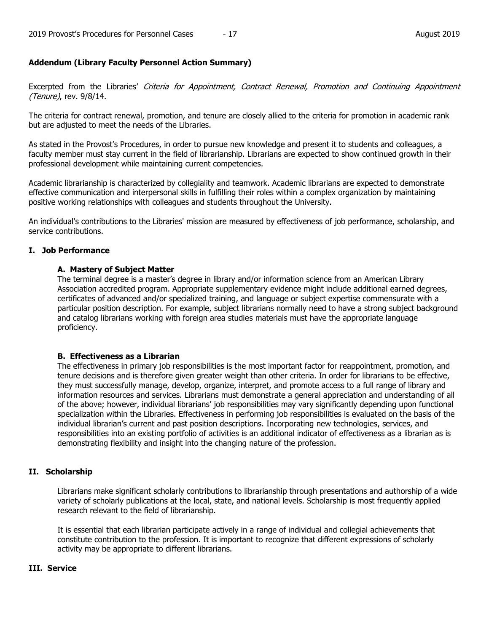## **Addendum (Library Faculty Personnel Action Summary)**

Excerpted from the Libraries' Criteria for Appointment, Contract Renewal, Promotion and Continuing Appointment (Tenure), rev. 9/8/14.

The criteria for contract renewal, promotion, and tenure are closely allied to the criteria for promotion in academic rank but are adjusted to meet the needs of the Libraries.

As stated in the Provost's Procedures, in order to pursue new knowledge and present it to students and colleagues, a faculty member must stay current in the field of librarianship. Librarians are expected to show continued growth in their professional development while maintaining current competencies.

Academic librarianship is characterized by collegiality and teamwork. Academic librarians are expected to demonstrate effective communication and interpersonal skills in fulfilling their roles within a complex organization by maintaining positive working relationships with colleagues and students throughout the University.

An individual's contributions to the Libraries' mission are measured by effectiveness of job performance, scholarship, and service contributions.

## **I. Job Performance**

## **A. Mastery of Subject Matter**

The terminal degree is a master's degree in library and/or information science from an American Library Association accredited program. Appropriate supplementary evidence might include additional earned degrees, certificates of advanced and/or specialized training, and language or subject expertise commensurate with a particular position description. For example, subject librarians normally need to have a strong subject background and catalog librarians working with foreign area studies materials must have the appropriate language proficiency.

## **B. Effectiveness as a Librarian**

The effectiveness in primary job responsibilities is the most important factor for reappointment, promotion, and tenure decisions and is therefore given greater weight than other criteria. In order for librarians to be effective, they must successfully manage, develop, organize, interpret, and promote access to a full range of library and information resources and services. Librarians must demonstrate a general appreciation and understanding of all of the above; however, individual librarians' job responsibilities may vary significantly depending upon functional specialization within the Libraries. Effectiveness in performing job responsibilities is evaluated on the basis of the individual librarian's current and past position descriptions. Incorporating new technologies, services, and responsibilities into an existing portfolio of activities is an additional indicator of effectiveness as a librarian as is demonstrating flexibility and insight into the changing nature of the profession.

## **II. Scholarship**

Librarians make significant scholarly contributions to librarianship through presentations and authorship of a wide variety of scholarly publications at the local, state, and national levels. Scholarship is most frequently applied research relevant to the field of librarianship.

It is essential that each librarian participate actively in a range of individual and collegial achievements that constitute contribution to the profession. It is important to recognize that different expressions of scholarly activity may be appropriate to different librarians.

## **III. Service**